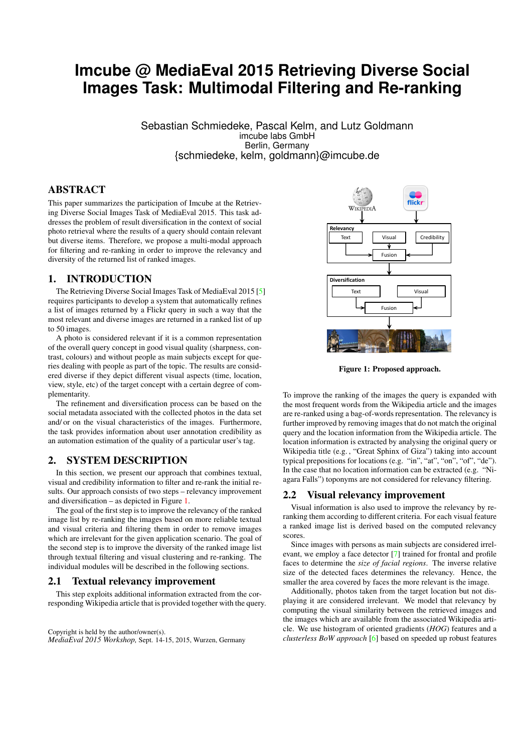# **Imcube @ MediaEval 2015 Retrieving Diverse Social Images Task: Multimodal Filtering and Re-ranking**

Sebastian Schmiedeke, Pascal Kelm, and Lutz Goldmann imcube labs GmbH Berlin, Germany {schmiedeke, kelm, goldmann}@imcube.de

# ABSTRACT

This paper summarizes the participation of Imcube at the Retrieving Diverse Social Images Task of MediaEval 2015. This task addresses the problem of result diversification in the context of social photo retrieval where the results of a query should contain relevant but diverse items. Therefore, we propose a multi-modal approach for filtering and re-ranking in order to improve the relevancy and diversity of the returned list of ranked images.

## 1. INTRODUCTION

The Retrieving Diverse Social Images Task of MediaEval 2015 [\[5\]](#page-2-0) requires participants to develop a system that automatically refines a list of images returned by a Flickr query in such a way that the most relevant and diverse images are returned in a ranked list of up to 50 images.

A photo is considered relevant if it is a common representation of the overall query concept in good visual quality (sharpness, contrast, colours) and without people as main subjects except for queries dealing with people as part of the topic. The results are considered diverse if they depict different visual aspects (time, location, view, style, etc) of the target concept with a certain degree of complementarity.

The refinement and diversification process can be based on the social metadata associated with the collected photos in the data set and/ or on the visual characteristics of the images. Furthermore, the task provides information about user annotation credibility as an automation estimation of the quality of a particular user's tag.

## 2. SYSTEM DESCRIPTION

In this section, we present our approach that combines textual, visual and credibility information to filter and re-rank the initial results. Our approach consists of two steps – relevancy improvement and diversification – as depicted in Figure [1.](#page-0-0)

The goal of the first step is to improve the relevancy of the ranked image list by re-ranking the images based on more reliable textual and visual criteria and filtering them in order to remove images which are irrelevant for the given application scenario. The goal of the second step is to improve the diversity of the ranked image list through textual filtering and visual clustering and re-ranking. The individual modules will be described in the following sections.

## <span id="page-0-2"></span>2.1 Textual relevancy improvement

This step exploits additional information extracted from the corresponding Wikipedia article that is provided together with the query.

Copyright is held by the author/owner(s). *MediaEval 2015 Workshop,* Sept. 14-15, 2015, Wurzen, Germany



<span id="page-0-0"></span>Figure 1: Proposed approach.

To improve the ranking of the images the query is expanded with the most frequent words from the Wikipedia article and the images are re-ranked using a bag-of-words representation. The relevancy is further improved by removing images that do not match the original query and the location information from the Wikipedia article. The location information is extracted by analysing the original query or Wikipedia title (e.g. , "Great Sphinx of Giza") taking into account typical prepositions for locations (e.g. "in", "at", "on", "of", "de"). In the case that no location information can be extracted (e.g. "Niagara Falls") toponyms are not considered for relevancy filtering.

### <span id="page-0-1"></span>2.2 Visual relevancy improvement

Visual information is also used to improve the relevancy by reranking them according to different criteria. For each visual feature a ranked image list is derived based on the computed relevancy scores.

Since images with persons as main subjects are considered irrelevant, we employ a face detector [\[7\]](#page-2-1) trained for frontal and profile faces to determine the *size of facial regions*. The inverse relative size of the detected faces determines the relevancy. Hence, the smaller the area covered by faces the more relevant is the image.

Additionally, photos taken from the target location but not displaying it are considered irrelevant. We model that relevancy by computing the visual similarity between the retrieved images and the images which are available from the associated Wikipedia article. We use histogram of oriented gradients (*HOG*) features and a *clusterless BoW approach* [\[6\]](#page-2-2) based on speeded up robust features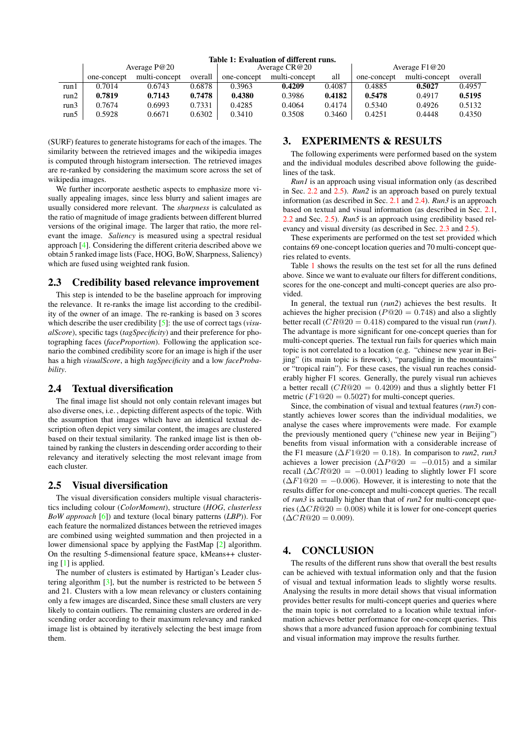<span id="page-1-3"></span>

|      | Average P@20 |               |         | Average $CR@20$ |               |        | Average $F1@20$ |               |         |
|------|--------------|---------------|---------|-----------------|---------------|--------|-----------------|---------------|---------|
|      | one-concept  | multi-concept | overall | one-concept     | multi-concept | all    | one-concept     | multi-concept | overall |
| run1 | 0.7014       | 0.6743        | 0.6878  | 0.3963          | 0.4209        | 0.4087 | 0.4885          | 0.5027        | 0.4957  |
| run2 | 0.7819       | 0.7143        | 0.7478  | 0.4380          | 0.3986        | 0.4182 | 0.5478          | 0.4917        | 0.5195  |
| run3 | 0.7674       | 0.6993        | 0.7331  | 0.4285          | 0.4064        | 0.4174 | 0.5340          | 0.4926        | 0.5132  |
| run5 | 0.5928       | 0.6671        | 0.6302  | 0.3410          | 0.3508        | 0.3460 | 0.4251          | 0.4448        | 0.4350  |

#### Table 1: Evaluation of different runs.

(SURF) features to generate histograms for each of the images. The similarity between the retrieved images and the wikipedia images is computed through histogram intersection. The retrieved images are re-ranked by considering the maximum score across the set of wikipedia images.

We further incorporate aesthetic aspects to emphasize more visually appealing images, since less blurry and salient images are usually considered more relevant. The *sharpness* is calculated as the ratio of magnitude of image gradients between different blurred versions of the original image. The larger that ratio, the more relevant the image. *Saliency* is measured using a spectral residual approach [\[4\]](#page-2-3). Considering the different criteria described above we obtain 5 ranked image lists (Face, HOG, BoW, Sharpness, Saliency) which are fused using weighted rank fusion.

#### <span id="page-1-2"></span>2.3 Credibility based relevance improvement

This step is intended to be the baseline approach for improving the relevance. It re-ranks the image list according to the credibility of the owner of an image. The re-ranking is based on 3 scores which describe the user credibility [\[5\]](#page-2-0): the use of correct tags (*visualScore*), specific tags (*tagSpecificity*) and their preference for photographing faces (*faceProportion*). Following the application scenario the combined credibility score for an image is high if the user has a high *visualScore*, a high *tagSpecificity* and a low *faceProbability*.

# <span id="page-1-1"></span>2.4 Textual diversification

The final image list should not only contain relevant images but also diverse ones, i.e. , depicting different aspects of the topic. With the assumption that images which have an identical textual description often depict very similar content, the images are clustered based on their textual similarity. The ranked image list is then obtained by ranking the clusters in descending order according to their relevancy and iteratively selecting the most relevant image from each cluster.

## <span id="page-1-0"></span>2.5 Visual diversification

The visual diversification considers multiple visual characteristics including colour (*ColorMoment*), structure (*HOG*, *clusterless BoW approach* [\[6\]](#page-2-2)) and texture (local binary patterns (*LBP*)). For each feature the normalized distances between the retrieved images are combined using weighted summation and then projected in a lower dimensional space by applying the FastMap [\[2\]](#page-2-4) algorithm. On the resulting 5-dimensional feature space, kMeans++ clustering [\[1\]](#page-2-5) is applied.

The number of clusters is estimated by Hartigan's Leader clustering algorithm  $[3]$ , but the number is restricted to be between 5 and 21. Clusters with a low mean relevancy or clusters containing only a few images are discarded, Since these small clusters are very likely to contain outliers. The remaining clusters are ordered in descending order according to their maximum relevancy and ranked image list is obtained by iteratively selecting the best image from them.

# 3. EXPERIMENTS & RESULTS

The following experiments were performed based on the system and the individual modules described above following the guidelines of the task.

*Run1* is an approach using visual information only (as described in Sec. [2.2](#page-0-1) and [2.5\)](#page-1-0). *Run2* is an approach based on purely textual information (as described in Sec. [2.1](#page-0-2) and [2.4\)](#page-1-1). *Run3* is an approach based on textual and visual information (as described in Sec. [2.1,](#page-0-2) [2.2](#page-0-1) and Sec. [2.5\)](#page-1-0). *Run5* is an approach using credibility based relevancy and visual diversity (as described in Sec. [2.3](#page-1-2) and [2.5\)](#page-1-0).

These experiments are performed on the test set provided which contains 69 one-concept location queries and 70 multi-concept queries related to events.

Table [1](#page-1-3) shows the results on the test set for all the runs defined above. Since we want to evaluate our filters for different conditions, scores for the one-concept and multi-concept queries are also provided.

In general, the textual run (*run2*) achieves the best results. It achieves the higher precision ( $P@20 = 0.748$ ) and also a slightly better recall  $(CR@20 = 0.418)$  compared to the visual run (*run1*). The advantage is more significant for one-concept queries than for multi-concept queries. The textual run fails for queries which main topic is not correlated to a location (e.g. "chinese new year in Beijing" (its main topic is firework), "paragliding in the mountains" or "tropical rain"). For these cases, the visual run reaches considerably higher F1 scores. Generally, the purely visual run achieves a better recall  $(CR@20 = 0.4209)$  and thus a slightly better F1 metric  $(F1@20 = 0.5027)$  for multi-concept queries.

Since, the combination of visual and textual features (*run3*) constantly achieves lower scores than the individual modalities, we analyse the cases where improvements were made. For example the previously mentioned query ("chinese new year in Beijing") benefits from visual information with a considerable increase of the F1 measure ( $\Delta F1@20 = 0.18$ ). In comparison to *run2*, *run3* achieves a lower precision ( $\Delta P@20 = -0.015$ ) and a similar recall ( $\Delta CR@20 = -0.001$ ) leading to slightly lower F1 score  $(\Delta F1@20 = -0.006)$ . However, it is interesting to note that the results differ for one-concept and multi-concept queries. The recall of *run3* is actually higher than that of *run2* for multi-concept queries ( $\Delta CR@20 = 0.008$ ) while it is lower for one-concept queries  $(\Delta CR@20 = 0.009).$ 

# 4. CONCLUSION

The results of the different runs show that overall the best results can be achieved with textual information only and that the fusion of visual and textual information leads to slightly worse results. Analysing the results in more detail shows that visual information provides better results for multi-concept queries and queries where the main topic is not correlated to a location while textual information achieves better performance for one-concept queries. This shows that a more advanced fusion approach for combining textual and visual information may improve the results further.